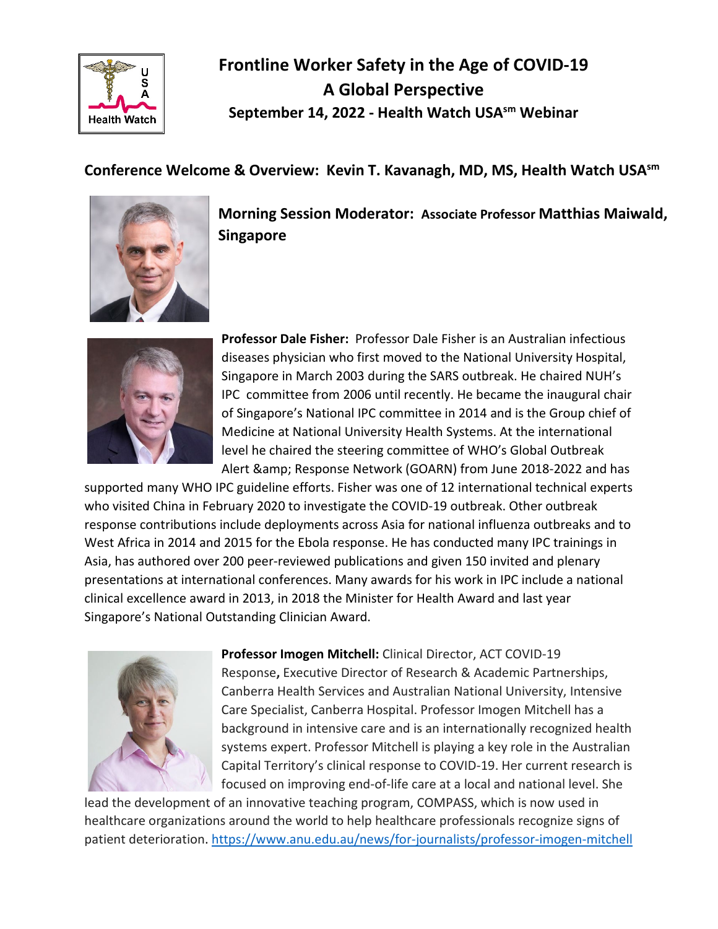

## **Frontline Worker Safety in the Age of COVID-19 A Global Perspective September 14, 2022 - Health Watch USAsm Webinar**

## **Conference Welcome & Overview: Kevin T. Kavanagh, MD, MS, Health Watch USAsm**



**Morning Session Moderator: Associate Professor Matthias Maiwald, Singapore**



**Professor Dale Fisher:** Professor Dale Fisher is an Australian infectious diseases physician who first moved to the National University Hospital, Singapore in March 2003 during the SARS outbreak. He chaired NUH's IPC committee from 2006 until recently. He became the inaugural chair of Singapore's National IPC committee in 2014 and is the Group chief of Medicine at National University Health Systems. At the international level he chaired the steering committee of WHO's Global Outbreak Alert & amp; Response Network (GOARN) from June 2018-2022 and has

supported many WHO IPC guideline efforts. Fisher was one of 12 international technical experts who visited China in February 2020 to investigate the COVID-19 outbreak. Other outbreak response contributions include deployments across Asia for national influenza outbreaks and to West Africa in 2014 and 2015 for the Ebola response. He has conducted many IPC trainings in Asia, has authored over 200 peer-reviewed publications and given 150 invited and plenary presentations at international conferences. Many awards for his work in IPC include a national clinical excellence award in 2013, in 2018 the Minister for Health Award and last year Singapore's National Outstanding Clinician Award.



**Professor Imogen Mitchell:** Clinical Director, ACT COVID-19 Response**,** Executive Director of Research & Academic Partnerships, Canberra Health Services and Australian National University, Intensive Care Specialist, Canberra Hospital. Professor Imogen Mitchell has a background in intensive care and is an internationally recognized health systems expert. Professor Mitchell is playing a key role in the Australian Capital Territory's clinical response to COVID-19. Her current research is focused on improving end-of-life care at a local and national level. She

lead the development of an innovative teaching program, COMPASS, which is now used in healthcare organizations around the world to help healthcare professionals recognize signs of patient deterioration.<https://www.anu.edu.au/news/for-journalists/professor-imogen-mitchell>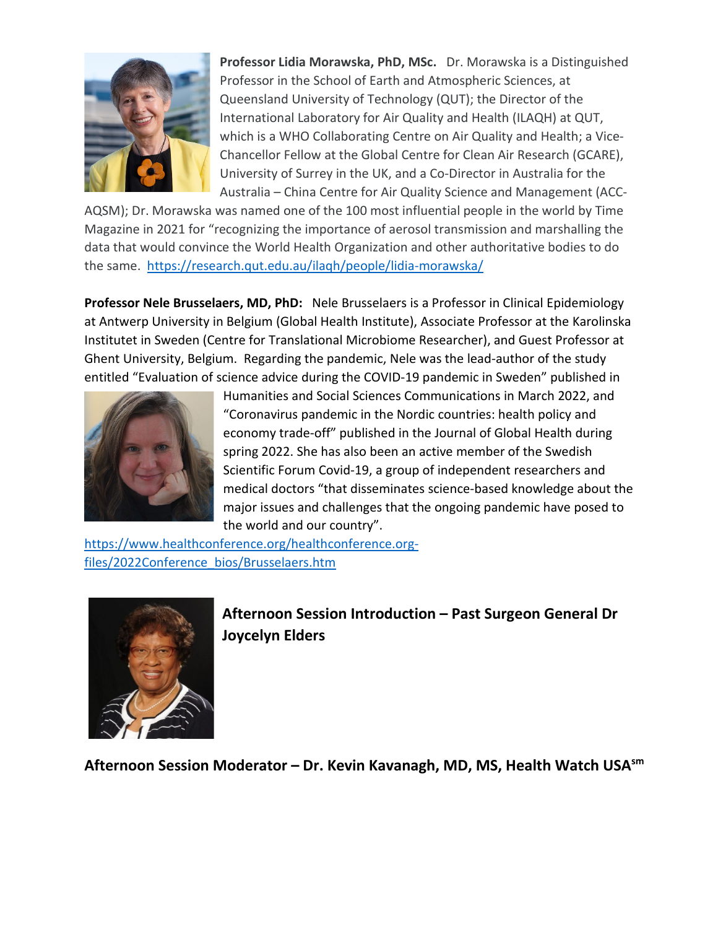

**Professor Lidia Morawska, PhD, MSc.** Dr. Morawska is a Distinguished Professor in the School of Earth and Atmospheric Sciences, at Queensland University of Technology (QUT); the Director of the International Laboratory for Air Quality and Health (ILAQH) at QUT, which is a WHO Collaborating Centre on Air Quality and Health; a Vice-Chancellor Fellow at the Global Centre for Clean Air Research (GCARE), University of Surrey in the UK, and a Co-Director in Australia for the Australia – China Centre for Air Quality Science and Management (ACC-

AQSM); Dr. Morawska was named one of the 100 most influential people in the world by Time Magazine in 2021 for "recognizing the importance of aerosol transmission and marshalling the data that would convince the World Health Organization and other authoritative bodies to do the same. <https://research.qut.edu.au/ilaqh/people/lidia-morawska/>

**Professor Nele Brusselaers, MD, PhD:** Nele Brusselaers is a Professor in Clinical Epidemiology at Antwerp University in Belgium (Global Health Institute), Associate Professor at the Karolinska Institutet in Sweden (Centre for Translational Microbiome Researcher), and Guest Professor at Ghent University, Belgium. Regarding the pandemic, Nele was the lead-author of the study entitled "Evaluation of science advice during the COVID-19 pandemic in Sweden" published in



Humanities and Social Sciences Communications in March 2022, and "Coronavirus pandemic in the Nordic countries: health policy and economy trade-off" published in the Journal of Global Health during spring 2022. She has also been an active member of the Swedish Scientific Forum Covid-19, a group of independent researchers and medical doctors "that disseminates science-based knowledge about the major issues and challenges that the ongoing pandemic have posed to the world and our country".

[https://www.healthconference.org/healthconference.org](https://www.healthconference.org/healthconference.org-files/2022Conference_bios/Brusselaers.htm)[files/2022Conference\\_bios/Brusselaers.htm](https://www.healthconference.org/healthconference.org-files/2022Conference_bios/Brusselaers.htm) 



**Afternoon Session Introduction – Past Surgeon General Dr Joycelyn Elders**

**Afternoon Session Moderator – Dr. Kevin Kavanagh, MD, MS, Health Watch USAsm**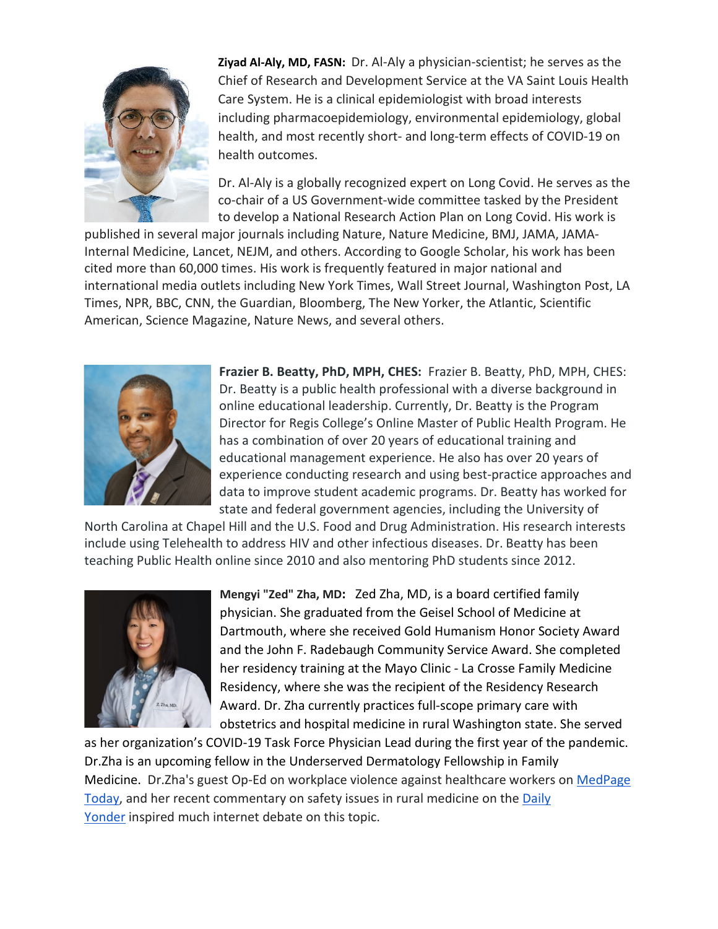

**Ziyad Al-Aly, MD, FASN:** Dr. Al-Aly a physician-scientist; he serves as the Chief of Research and Development Service at the VA Saint Louis Health Care System. He is a clinical epidemiologist with broad interests including pharmacoepidemiology, environmental epidemiology, global health, and most recently short- and long-term effects of COVID-19 on health outcomes.

Dr. Al-Aly is a globally recognized expert on Long Covid. He serves as the co-chair of a US Government-wide committee tasked by the President to develop a National Research Action Plan on Long Covid. His work is

published in several major journals including Nature, Nature Medicine, BMJ, JAMA, JAMA-Internal Medicine, Lancet, NEJM, and others. According to Google Scholar, his work has been cited more than 60,000 times. His work is frequently featured in major national and international media outlets including New York Times, Wall Street Journal, Washington Post, LA Times, NPR, BBC, CNN, the Guardian, Bloomberg, The New Yorker, the Atlantic, Scientific American, Science Magazine, Nature News, and several others.



**Frazier B. Beatty, PhD, MPH, CHES:** Frazier B. Beatty, PhD, MPH, CHES: Dr. Beatty is a public health professional with a diverse background in online educational leadership. Currently, Dr. Beatty is the Program Director for Regis College's Online Master of Public Health Program. He has a combination of over 20 years of educational training and educational management experience. He also has over 20 years of experience conducting research and using best-practice approaches and data to improve student academic programs. Dr. Beatty has worked for state and federal government agencies, including the University of

North Carolina at Chapel Hill and the U.S. Food and Drug Administration. His research interests include using Telehealth to address HIV and other infectious diseases. Dr. Beatty has been teaching Public Health online since 2010 and also mentoring PhD students since 2012.



**Mengyi "Zed" Zha, MD:** Zed Zha, MD, is a board certified family physician. She graduated from the Geisel School of Medicine at Dartmouth, where she received Gold Humanism Honor Society Award and the John F. Radebaugh Community Service Award. She completed her residency training at the Mayo Clinic - La Crosse Family Medicine Residency, where she was the recipient of the Residency Research Award. Dr. Zha currently practices full-scope primary care with obstetrics and hospital medicine in rural Washington state. She served

as her organization's COVID-19 Task Force Physician Lead during the first year of the pandemic. Dr.Zha is an upcoming fellow in the Underserved Dermatology Fellowship in Family Medicine. Dr.Zha's guest Op-Ed on workplace violence against healthcare workers on MedPage [Today,](https://www.medpagetoday.com/opinion/second-opinions/99044) and her recent commentary on safety issues in rural medicine on the [Daily](https://dailyyonder.com/commentary-fearing-for-your-safety-when-youre-just-a-country-doctor/2022/06/13/)  [Yonder](https://dailyyonder.com/commentary-fearing-for-your-safety-when-youre-just-a-country-doctor/2022/06/13/) inspired much internet debate on this topic.